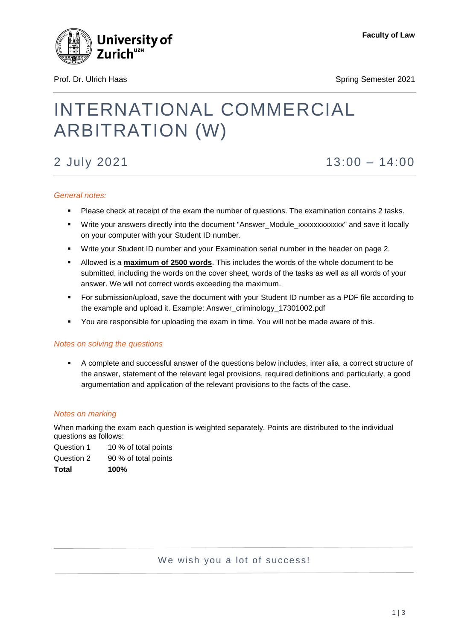

Prof. Dr. Ulrich Haas Spring Semester 2021

# INTERNATIONAL COMMERCIAL ARBITRATION (W)

## 2 July 2021 13:00 – 14:00

### *General notes:*

- Please check at receipt of the exam the number of questions. The examination contains 2 tasks.
- \* Write your answers directly into the document "Answer\_Module\_xxxxxxxxxxxx" and save it locally on your computer with your Student ID number.
- Write your Student ID number and your Examination serial number in the header on page 2.
- Allowed is a **maximum of 2500 words**. This includes the words of the whole document to be submitted, including the words on the cover sheet, words of the tasks as well as all words of your answer. We will not correct words exceeding the maximum.
- For submission/upload, save the document with your Student ID number as a PDF file according to the example and upload it. Example: Answer\_criminology\_17301002.pdf
- You are responsible for uploading the exam in time. You will not be made aware of this.

### *Notes on solving the questions*

 A complete and successful answer of the questions below includes, inter alia, a correct structure of the answer, statement of the relevant legal provisions, required definitions and particularly, a good argumentation and application of the relevant provisions to the facts of the case.

#### *Notes on marking*

When marking the exam each question is weighted separately. Points are distributed to the individual questions as follows:

Question 1 10 % of total points

Question 2 90 % of total points

**Total 100%**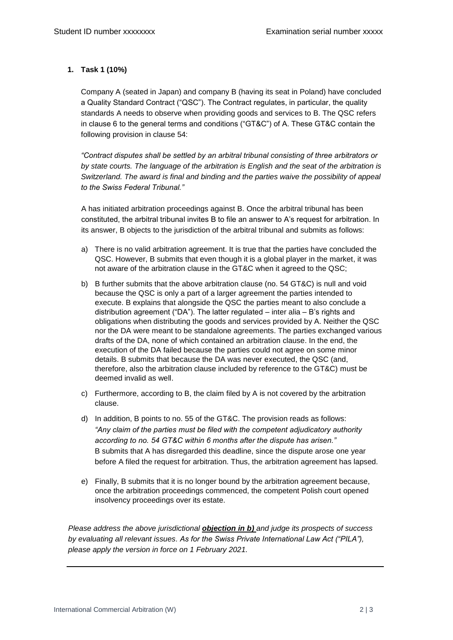#### **1. Task 1 (10%)**

Company A (seated in Japan) and company B (having its seat in Poland) have concluded a Quality Standard Contract ("QSC"). The Contract regulates, in particular, the quality standards A needs to observe when providing goods and services to B. The QSC refers in clause 6 to the general terms and conditions ("GT&C") of A. These GT&C contain the following provision in clause 54:

*"Contract disputes shall be settled by an arbitral tribunal consisting of three arbitrators or by state courts. The language of the arbitration is English and the seat of the arbitration is Switzerland. The award is final and binding and the parties waive the possibility of appeal to the Swiss Federal Tribunal."* 

A has initiated arbitration proceedings against B. Once the arbitral tribunal has been constituted, the arbitral tribunal invites B to file an answer to A's request for arbitration. In its answer, B objects to the jurisdiction of the arbitral tribunal and submits as follows:

- a) There is no valid arbitration agreement. It is true that the parties have concluded the QSC. However, B submits that even though it is a global player in the market, it was not aware of the arbitration clause in the GT&C when it agreed to the QSC;
- b) B further submits that the above arbitration clause (no. 54 GT&C) is null and void because the QSC is only a part of a larger agreement the parties intended to execute. B explains that alongside the QSC the parties meant to also conclude a distribution agreement ("DA"). The latter regulated – inter alia – B's rights and obligations when distributing the goods and services provided by A. Neither the QSC nor the DA were meant to be standalone agreements. The parties exchanged various drafts of the DA, none of which contained an arbitration clause. In the end, the execution of the DA failed because the parties could not agree on some minor details. B submits that because the DA was never executed, the QSC (and, therefore, also the arbitration clause included by reference to the GT&C) must be deemed invalid as well.
- c) Furthermore, according to B, the claim filed by A is not covered by the arbitration clause.
- d) In addition, B points to no. 55 of the GT&C. The provision reads as follows: *"Any claim of the parties must be filed with the competent adjudicatory authority according to no. 54 GT&C within 6 months after the dispute has arisen."* B submits that A has disregarded this deadline, since the dispute arose one year before A filed the request for arbitration. Thus, the arbitration agreement has lapsed.
- e) Finally, B submits that it is no longer bound by the arbitration agreement because, once the arbitration proceedings commenced, the competent Polish court opened insolvency proceedings over its estate.

*Please address the above jurisdictional objection in b) and judge its prospects of success by evaluating all relevant issues. As for the Swiss Private International Law Act ("PILA"), please apply the version in force on 1 February 2021.*